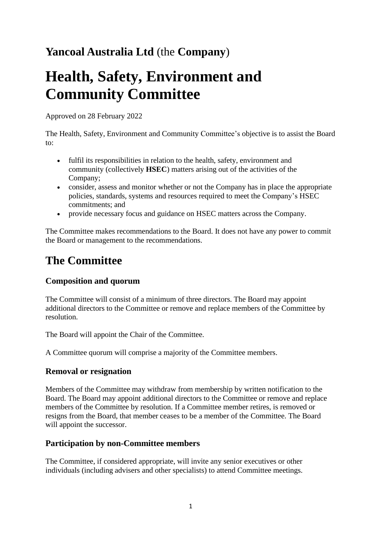# **Yancoal Australia Ltd** (the **Company**)

# **Health, Safety, Environment and Community Committee**

Approved on 28 February 2022

The Health, Safety, Environment and Community Committee's objective is to assist the Board to:

- fulfil its responsibilities in relation to the health, safety, environment and community (collectively **HSEC**) matters arising out of the activities of the Company;
- consider, assess and monitor whether or not the Company has in place the appropriate policies, standards, systems and resources required to meet the Company's HSEC commitments; and
- provide necessary focus and guidance on HSEC matters across the Company.

The Committee makes recommendations to the Board. It does not have any power to commit the Board or management to the recommendations.

# **The Committee**

# **Composition and quorum**

The Committee will consist of a minimum of three directors. The Board may appoint additional directors to the Committee or remove and replace members of the Committee by resolution.

The Board will appoint the Chair of the Committee.

A Committee quorum will comprise a majority of the Committee members.

#### **Removal or resignation**

Members of the Committee may withdraw from membership by written notification to the Board. The Board may appoint additional directors to the Committee or remove and replace members of the Committee by resolution. If a Committee member retires, is removed or resigns from the Board, that member ceases to be a member of the Committee. The Board will appoint the successor.

# **Participation by non-Committee members**

The Committee, if considered appropriate, will invite any senior executives or other individuals (including advisers and other specialists) to attend Committee meetings.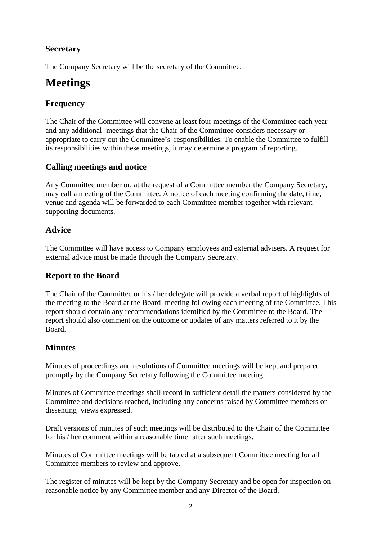### **Secretary**

The Company Secretary will be the secretary of the Committee.

# **Meetings**

# **Frequency**

The Chair of the Committee will convene at least four meetings of the Committee each year and any additional meetings that the Chair of the Committee considers necessary or appropriate to carry out the Committee's responsibilities. To enable the Committee to fulfill its responsibilities within these meetings, it may determine a program of reporting.

#### **Calling meetings and notice**

Any Committee member or, at the request of a Committee member the Company Secretary, may call a meeting of the Committee. A notice of each meeting confirming the date, time, venue and agenda will be forwarded to each Committee member together with relevant supporting documents.

#### **Advice**

The Committee will have access to Company employees and external advisers. A request for external advice must be made through the Company Secretary.

#### **Report to the Board**

The Chair of the Committee or his / her delegate will provide a verbal report of highlights of the meeting to the Board at the Board meeting following each meeting of the Committee. This report should contain any recommendations identified by the Committee to the Board. The report should also comment on the outcome or updates of any matters referred to it by the Board.

#### **Minutes**

Minutes of proceedings and resolutions of Committee meetings will be kept and prepared promptly by the Company Secretary following the Committee meeting.

Minutes of Committee meetings shall record in sufficient detail the matters considered by the Committee and decisions reached, including any concerns raised by Committee members or dissenting views expressed.

Draft versions of minutes of such meetings will be distributed to the Chair of the Committee for his / her comment within a reasonable time after such meetings.

Minutes of Committee meetings will be tabled at a subsequent Committee meeting for all Committee members to review and approve.

The register of minutes will be kept by the Company Secretary and be open for inspection on reasonable notice by any Committee member and any Director of the Board.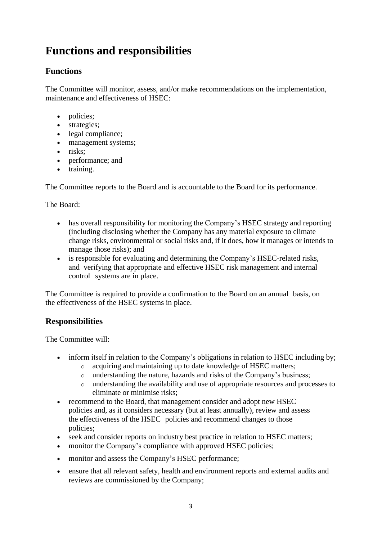# **Functions and responsibilities**

# **Functions**

The Committee will monitor, assess, and/or make recommendations on the implementation, maintenance and effectiveness of HSEC:

- policies:
- strategies;
- legal compliance;
- management systems;
- risks;
- performance; and
- training.

The Committee reports to the Board and is accountable to the Board for its performance.

#### The Board:

- has overall responsibility for monitoring the Company's HSEC strategy and reporting (including disclosing whether the Company has any material exposure to climate change risks, environmental or social risks and, if it does, how it manages or intends to manage those risks); and
- is responsible for evaluating and determining the Company's HSEC-related risks, and verifying that appropriate and effective HSEC risk management and internal control systems are in place.

The Committee is required to provide a confirmation to the Board on an annual basis, on the effectiveness of the HSEC systems in place.

# **Responsibilities**

The Committee will:

- inform itself in relation to the Company's obligations in relation to HSEC including by;
	- o acquiring and maintaining up to date knowledge of HSEC matters;
		- o understanding the nature, hazards and risks of the Company's business;
		- o understanding the availability and use of appropriate resources and processes to eliminate or minimise risks;
- recommend to the Board, that management consider and adopt new HSEC policies and, as it considers necessary (but at least annually), review and assess the effectiveness of the HSEC policies and recommend changes to those policies;
- seek and consider reports on industry best practice in relation to HSEC matters;
- monitor the Company's compliance with approved HSEC policies:
- monitor and assess the Company's HSEC performance;
- ensure that all relevant safety, health and environment reports and external audits and reviews are commissioned by the Company;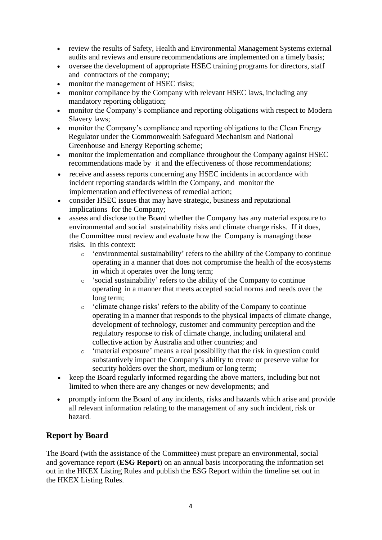- review the results of Safety, Health and Environmental Management Systems external audits and reviews and ensure recommendations are implemented on a timely basis;
- oversee the development of appropriate HSEC training programs for directors, staff and contractors of the company;
- monitor the management of HSEC risks:
- monitor compliance by the Company with relevant HSEC laws, including any mandatory reporting obligation;
- monitor the Company's compliance and reporting obligations with respect to Modern Slavery laws;
- monitor the Company's compliance and reporting obligations to the Clean Energy Regulator under the Commonwealth Safeguard Mechanism and National Greenhouse and Energy Reporting scheme;
- monitor the implementation and compliance throughout the Company against HSEC recommendations made by it and the effectiveness of those recommendations;
- receive and assess reports concerning any HSEC incidents in accordance with incident reporting standards within the Company, and monitor the implementation and effectiveness of remedial action;
- consider HSEC issues that may have strategic, business and reputational implications for the Company;
- assess and disclose to the Board whether the Company has any material exposure to environmental and social sustainability risks and climate change risks. If it does, the Committee must review and evaluate how the Company is managing those risks. In this context:
	- o 'environmental sustainability' refers to the ability of the Company to continue operating in a manner that does not compromise the health of the ecosystems in which it operates over the long term;
	- o 'social sustainability' refers to the ability of the Company to continue operating in a manner that meets accepted social norms and needs over the long term;
	- o 'climate change risks' refers to the ability of the Company to continue operating in a manner that responds to the physical impacts of climate change, development of technology, customer and community perception and the regulatory response to risk of climate change, including unilateral and collective action by Australia and other countries; and
	- o 'material exposure' means a real possibility that the risk in question could substantively impact the Company's ability to create or preserve value for security holders over the short, medium or long term;
- keep the Board regularly informed regarding the above matters, including but not limited to when there are any changes or new developments; and
- promptly inform the Board of any incidents, risks and hazards which arise and provide all relevant information relating to the management of any such incident, risk or hazard.

# **Report by Board**

The Board (with the assistance of the Committee) must prepare an environmental, social and governance report (**ESG Report**) on an annual basis incorporating the information set out in the HKEX Listing Rules and publish the ESG Report within the timeline set out in the HKEX Listing Rules.